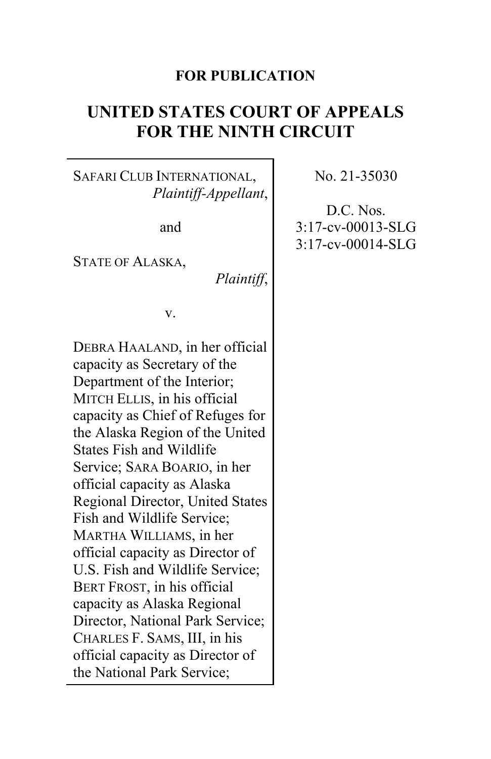# **FOR PUBLICATION**

# **UNITED STATES COURT OF APPEALS FOR THE NINTH CIRCUIT**

# SAFARI CLUB INTERNATIONAL, *Plaintiff-Appellant*,

and

STATE OF ALASKA,

*Plaintiff*,

v.

DEBRA HAALAND, in her official capacity as Secretary of the Department of the Interior; MITCH ELLIS, in his official capacity as Chief of Refuges for the Alaska Region of the United States Fish and Wildlife Service; SARA BOARIO, in her official capacity as Alaska Regional Director, United States Fish and Wildlife Service; MARTHA WILLIAMS, in her official capacity as Director of U.S. Fish and Wildlife Service; BERT FROST, in his official capacity as Alaska Regional Director, National Park Service; CHARLES F. SAMS, III, in his official capacity as Director of the National Park Service;

No. 21-35030

D.C. Nos. 3:17-cv-00013-SLG 3:17-cv-00014-SLG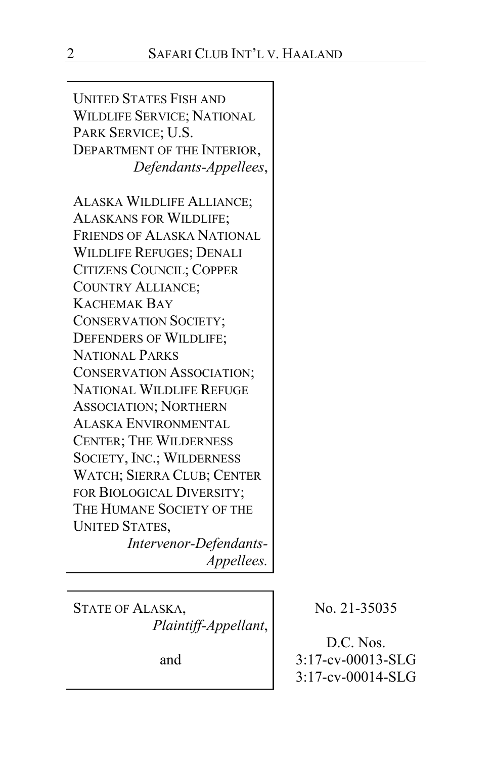UNITED STATES FISH AND WILDLIFE SERVICE; NATIONAL PARK SERVICE; U.S. DEPARTMENT OF THE INTERIOR, *Defendants-Appellees*,

ALASKA WILDLIFE ALLIANCE; ALASKANS FOR WILDLIFE; FRIENDS OF ALASKA NATIONAL WILDLIFE REFUGES; DENALI CITIZENS COUNCIL; COPPER COUNTRY ALLIANCE; KACHEMAK BAY CONSERVATION SOCIETY; DEFENDERS OF WILDLIFE; NATIONAL PARKS CONSERVATION ASSOCIATION; NATIONAL WILDLIFE REFUGE ASSOCIATION; NORTHERN ALASKA ENVIRONMENTAL CENTER; THE WILDERNESS SOCIETY, INC.; WILDERNESS WATCH; SIERRA CLUB; CENTER FOR BIOLOGICAL DIVERSITY; THE HUMANE SOCIETY OF THE UNITED STATES,

*Intervenor-Defendants-Appellees.*

STATE OF ALASKA, *Plaintiff-Appellant*,

and

No. 21-35035

D.C. Nos. 3:17-cv-00013-SLG 3:17-cv-00014-SLG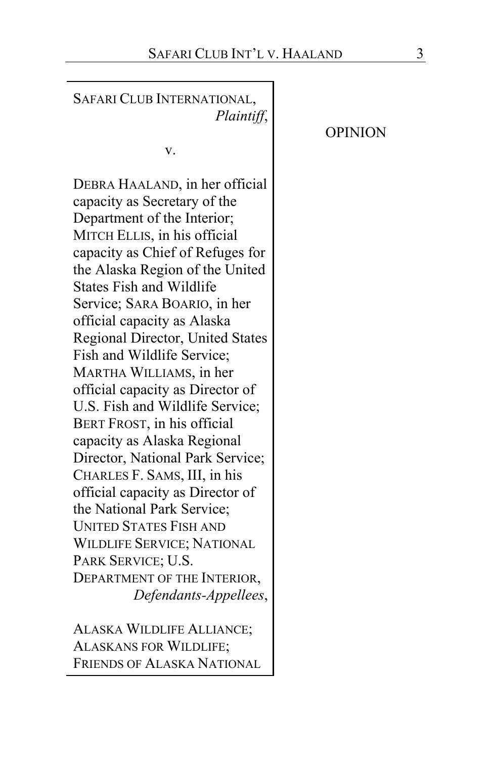| SAFARI CLUB INTERNATIONAL,<br>Plaintiff,                                                                                                                                                                                                                                                                                                                                                                                                                                                                                                                                                                                                                                                                                                                                                                                           | <b>OPINION</b> |
|------------------------------------------------------------------------------------------------------------------------------------------------------------------------------------------------------------------------------------------------------------------------------------------------------------------------------------------------------------------------------------------------------------------------------------------------------------------------------------------------------------------------------------------------------------------------------------------------------------------------------------------------------------------------------------------------------------------------------------------------------------------------------------------------------------------------------------|----------------|
| v.                                                                                                                                                                                                                                                                                                                                                                                                                                                                                                                                                                                                                                                                                                                                                                                                                                 |                |
| DEBRA HAALAND, in her official<br>capacity as Secretary of the<br>Department of the Interior;<br>MITCH ELLIS, in his official<br>capacity as Chief of Refuges for<br>the Alaska Region of the United<br><b>States Fish and Wildlife</b><br>Service; SARA BOARIO, in her<br>official capacity as Alaska<br>Regional Director, United States<br>Fish and Wildlife Service;<br>MARTHA WILLIAMS, in her<br>official capacity as Director of<br>U.S. Fish and Wildlife Service;<br>BERT FROST, in his official<br>capacity as Alaska Regional<br>Director, National Park Service;<br>CHARLES F. SAMS, III, in his<br>official capacity as Director of<br>the National Park Service;<br><b>UNITED STATES FISH AND</b><br><b>WILDLIFE SERVICE; NATIONAL</b><br>PARK SERVICE; U.S.<br>DEPARTMENT OF THE INTERIOR,<br>Defendants-Appellees, |                |
| AT A OIZ A WIT IN THE ATTIANCE                                                                                                                                                                                                                                                                                                                                                                                                                                                                                                                                                                                                                                                                                                                                                                                                     |                |

ALASKA WILDLIFE ALLIANCE; ALASKANS FOR WILDLIFE; FRIENDS OF ALASKA NATIONAL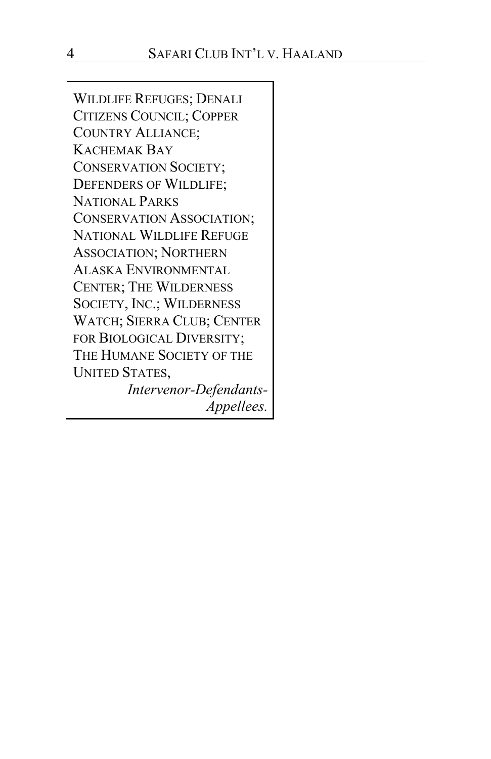WILDLIFE REFUGES; DENALI CITIZENS COUNCIL; COPPER COUNTRY ALLIANCE; KACHEMAK BAY CONSERVATION SOCIETY; DEFENDERS OF WILDLIFE; NATIONAL PARKS CONSERVATION ASSOCIATION; NATIONAL WILDLIFE REFUGE ASSOCIATION; NORTHERN ALASKA ENVIRONMENTAL CENTER; THE WILDERNESS SOCIETY, INC.; WILDERNESS WATCH; SIERRA CLUB; CENTER FOR BIOLOGICAL DIVERSITY; THE HUMANE SOCIETY OF THE UNITED STATES,

*Intervenor-Defendants-Appellees.*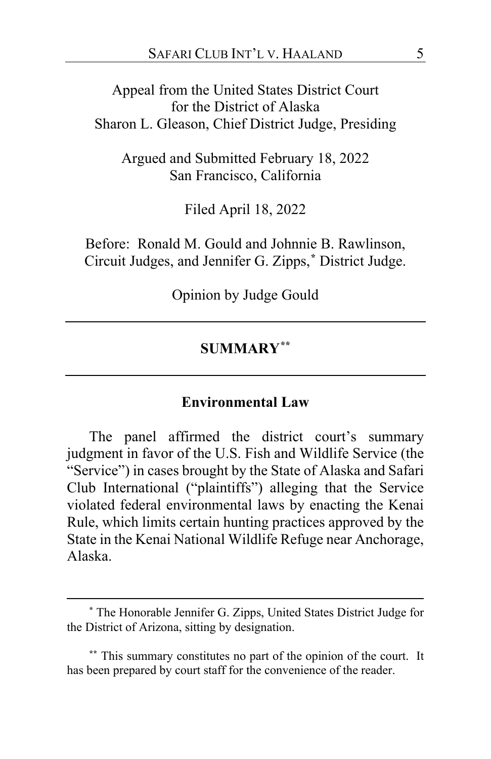Appeal from the United States District Court for the District of Alaska Sharon L. Gleason, Chief District Judge, Presiding

Argued and Submitted February 18, 2022 San Francisco, California

Filed April 18, 2022

Before: Ronald M. Gould and Johnnie B. Rawlinson, Circuit Judges, and Jennifer G. Zipps,**[\\*](#page-4-0)** District Judge.

Opinion by Judge Gould

## **SUMMARY[\\*\\*](#page-4-1)**

#### **Environmental Law**

The panel affirmed the district court's summary judgment in favor of the U.S. Fish and Wildlife Service (the "Service") in cases brought by the State of Alaska and Safari Club International ("plaintiffs") alleging that the Service violated federal environmental laws by enacting the Kenai Rule, which limits certain hunting practices approved by the State in the Kenai National Wildlife Refuge near Anchorage, Alaska.

<span id="page-4-0"></span>**<sup>\*</sup>** The Honorable Jennifer G. Zipps, United States District Judge for the District of Arizona, sitting by designation.

<span id="page-4-1"></span>**<sup>\*\*</sup>** This summary constitutes no part of the opinion of the court. It has been prepared by court staff for the convenience of the reader.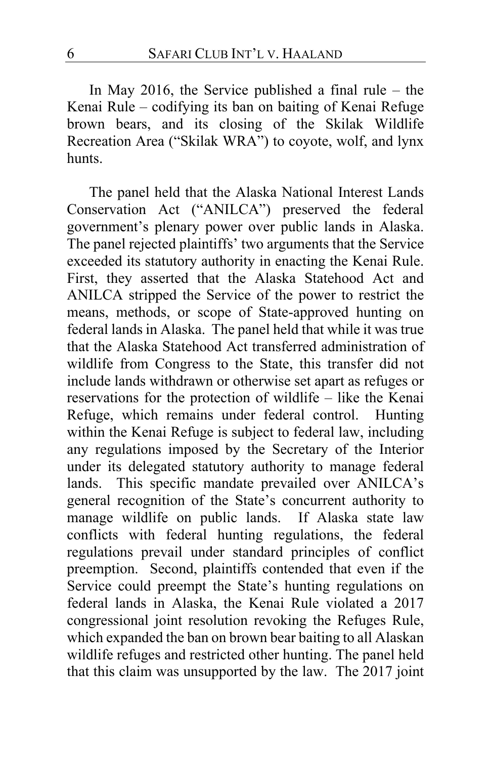In May 2016, the Service published a final rule – the Kenai Rule – codifying its ban on baiting of Kenai Refuge brown bears, and its closing of the Skilak Wildlife Recreation Area ("Skilak WRA") to coyote, wolf, and lynx hunts.

The panel held that the Alaska National Interest Lands Conservation Act ("ANILCA") preserved the federal government's plenary power over public lands in Alaska. The panel rejected plaintiffs' two arguments that the Service exceeded its statutory authority in enacting the Kenai Rule. First, they asserted that the Alaska Statehood Act and ANILCA stripped the Service of the power to restrict the means, methods, or scope of State-approved hunting on federal lands in Alaska. The panel held that while it was true that the Alaska Statehood Act transferred administration of wildlife from Congress to the State, this transfer did not include lands withdrawn or otherwise set apart as refuges or reservations for the protection of wildlife – like the Kenai Refuge, which remains under federal control. Hunting within the Kenai Refuge is subject to federal law, including any regulations imposed by the Secretary of the Interior under its delegated statutory authority to manage federal lands. This specific mandate prevailed over ANILCA's general recognition of the State's concurrent authority to manage wildlife on public lands. If Alaska state law conflicts with federal hunting regulations, the federal regulations prevail under standard principles of conflict preemption. Second, plaintiffs contended that even if the Service could preempt the State's hunting regulations on federal lands in Alaska, the Kenai Rule violated a 2017 congressional joint resolution revoking the Refuges Rule, which expanded the ban on brown bear baiting to all Alaskan wildlife refuges and restricted other hunting. The panel held that this claim was unsupported by the law. The 2017 joint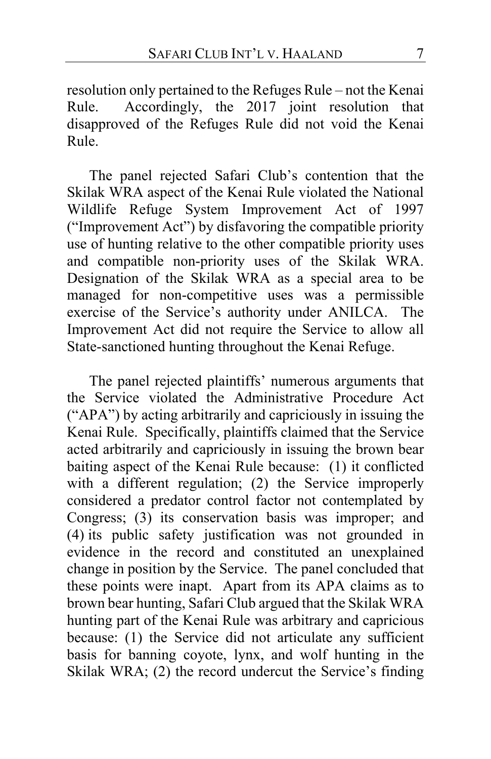resolution only pertained to the Refuges Rule – not the Kenai Rule. Accordingly, the 2017 joint resolution that disapproved of the Refuges Rule did not void the Kenai Rule.

The panel rejected Safari Club's contention that the Skilak WRA aspect of the Kenai Rule violated the National Wildlife Refuge System Improvement Act of 1997 ("Improvement Act") by disfavoring the compatible priority use of hunting relative to the other compatible priority uses and compatible non-priority uses of the Skilak WRA. Designation of the Skilak WRA as a special area to be managed for non-competitive uses was a permissible exercise of the Service's authority under ANILCA. The Improvement Act did not require the Service to allow all State-sanctioned hunting throughout the Kenai Refuge.

The panel rejected plaintiffs' numerous arguments that the Service violated the Administrative Procedure Act ("APA") by acting arbitrarily and capriciously in issuing the Kenai Rule. Specifically, plaintiffs claimed that the Service acted arbitrarily and capriciously in issuing the brown bear baiting aspect of the Kenai Rule because: (1) it conflicted with a different regulation; (2) the Service improperly considered a predator control factor not contemplated by Congress; (3) its conservation basis was improper; and (4) its public safety justification was not grounded in evidence in the record and constituted an unexplained change in position by the Service. The panel concluded that these points were inapt. Apart from its APA claims as to brown bear hunting, Safari Club argued that the Skilak WRA hunting part of the Kenai Rule was arbitrary and capricious because: (1) the Service did not articulate any sufficient basis for banning coyote, lynx, and wolf hunting in the Skilak WRA; (2) the record undercut the Service's finding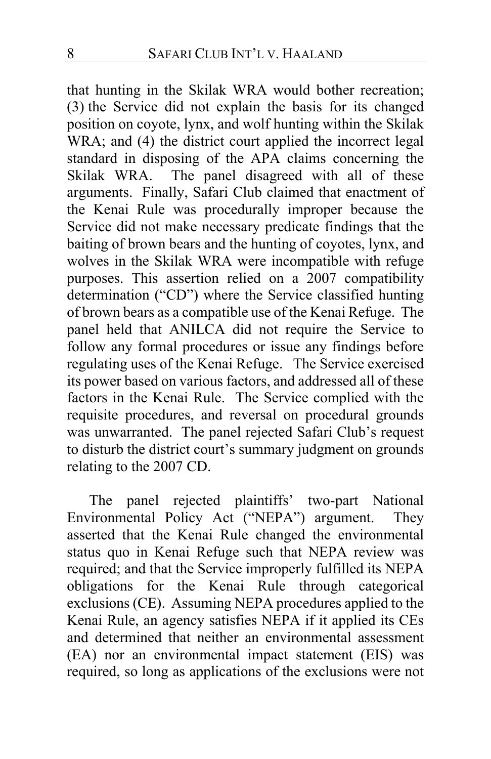that hunting in the Skilak WRA would bother recreation; (3) the Service did not explain the basis for its changed position on coyote, lynx, and wolf hunting within the Skilak WRA; and (4) the district court applied the incorrect legal standard in disposing of the APA claims concerning the Skilak WRA. The panel disagreed with all of these The panel disagreed with all of these arguments. Finally, Safari Club claimed that enactment of the Kenai Rule was procedurally improper because the Service did not make necessary predicate findings that the baiting of brown bears and the hunting of coyotes, lynx, and wolves in the Skilak WRA were incompatible with refuge purposes. This assertion relied on a 2007 compatibility determination ("CD") where the Service classified hunting of brown bears as a compatible use of the Kenai Refuge. The panel held that ANILCA did not require the Service to follow any formal procedures or issue any findings before regulating uses of the Kenai Refuge. The Service exercised its power based on various factors, and addressed all of these factors in the Kenai Rule. The Service complied with the requisite procedures, and reversal on procedural grounds was unwarranted. The panel rejected Safari Club's request to disturb the district court's summary judgment on grounds relating to the 2007 CD.

The panel rejected plaintiffs' two-part National Environmental Policy Act ("NEPA") argument. They asserted that the Kenai Rule changed the environmental status quo in Kenai Refuge such that NEPA review was required; and that the Service improperly fulfilled its NEPA obligations for the Kenai Rule through categorical exclusions (CE). Assuming NEPA procedures applied to the Kenai Rule, an agency satisfies NEPA if it applied its CEs and determined that neither an environmental assessment (EA) nor an environmental impact statement (EIS) was required, so long as applications of the exclusions were not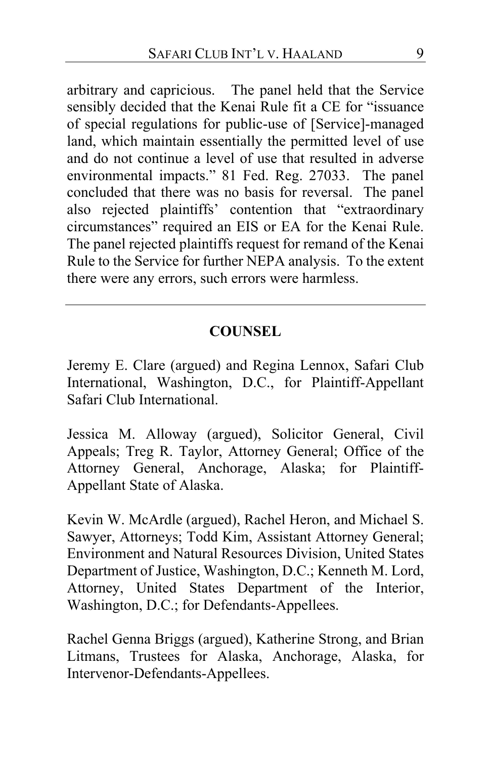arbitrary and capricious. The panel held that the Service sensibly decided that the Kenai Rule fit a CE for "issuance of special regulations for public-use of [Service]-managed land, which maintain essentially the permitted level of use and do not continue a level of use that resulted in adverse environmental impacts." 81 Fed. Reg. 27033. The panel concluded that there was no basis for reversal. The panel also rejected plaintiffs' contention that "extraordinary circumstances" required an EIS or EA for the Kenai Rule. The panel rejected plaintiffs request for remand of the Kenai Rule to the Service for further NEPA analysis. To the extent there were any errors, such errors were harmless.

# **COUNSEL**

Jeremy E. Clare (argued) and Regina Lennox, Safari Club International, Washington, D.C., for Plaintiff-Appellant Safari Club International.

Jessica M. Alloway (argued), Solicitor General, Civil Appeals; Treg R. Taylor, Attorney General; Office of the Attorney General, Anchorage, Alaska; for Plaintiff-Appellant State of Alaska.

Kevin W. McArdle (argued), Rachel Heron, and Michael S. Sawyer, Attorneys; Todd Kim, Assistant Attorney General; Environment and Natural Resources Division, United States Department of Justice, Washington, D.C.; Kenneth M. Lord, Attorney, United States Department of the Interior, Washington, D.C.; for Defendants-Appellees.

Rachel Genna Briggs (argued), Katherine Strong, and Brian Litmans, Trustees for Alaska, Anchorage, Alaska, for Intervenor-Defendants-Appellees.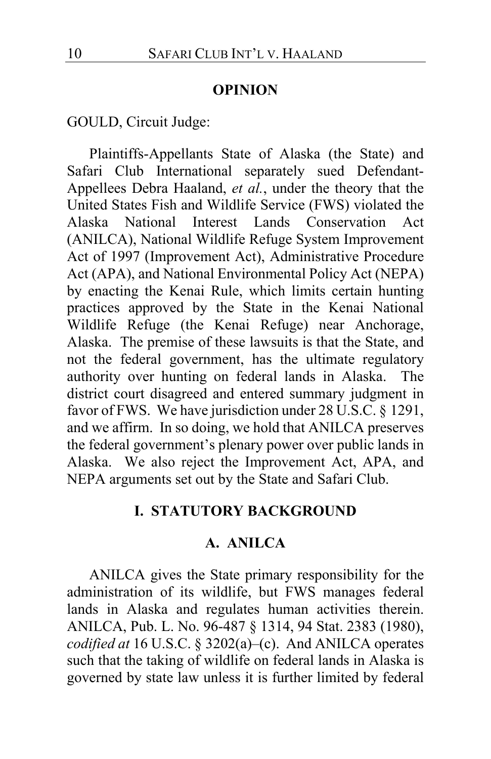### **OPINION**

GOULD, Circuit Judge:

Plaintiffs-Appellants State of Alaska (the State) and Safari Club International separately sued Defendant-Appellees Debra Haaland, *et al.*, under the theory that the United States Fish and Wildlife Service (FWS) violated the Alaska National Interest Lands Conservation Act (ANILCA), National Wildlife Refuge System Improvement Act of 1997 (Improvement Act), Administrative Procedure Act (APA), and National Environmental Policy Act (NEPA) by enacting the Kenai Rule, which limits certain hunting practices approved by the State in the Kenai National Wildlife Refuge (the Kenai Refuge) near Anchorage, Alaska. The premise of these lawsuits is that the State, and not the federal government, has the ultimate regulatory authority over hunting on federal lands in Alaska. The district court disagreed and entered summary judgment in favor of FWS. We have jurisdiction under 28 U.S.C. § 1291, and we affirm. In so doing, we hold that ANILCA preserves the federal government's plenary power over public lands in Alaska. We also reject the Improvement Act, APA, and NEPA arguments set out by the State and Safari Club.

# **I. STATUTORY BACKGROUND**

### **A. ANILCA**

ANILCA gives the State primary responsibility for the administration of its wildlife, but FWS manages federal lands in Alaska and regulates human activities therein. ANILCA, Pub. L. No. 96-487 § 1314, 94 Stat. 2383 (1980), *codified at* 16 U.S.C. § 3202(a)–(c).And ANILCA operates such that the taking of wildlife on federal lands in Alaska is governed by state law unless it is further limited by federal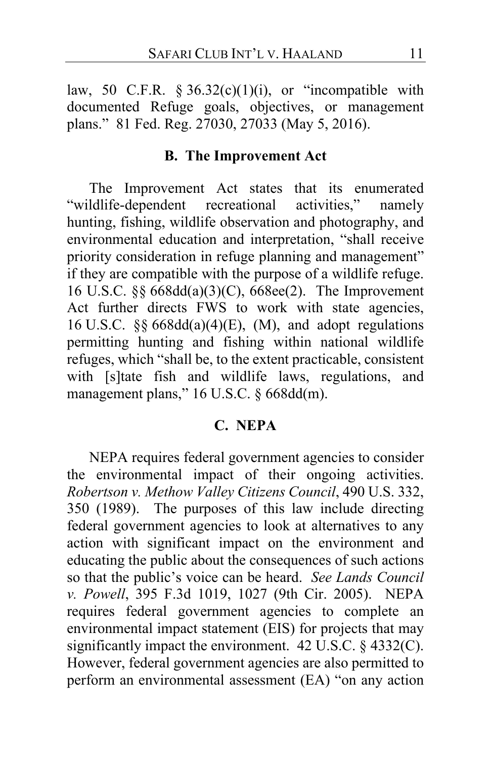law, 50 C.F.R.  $\S 36.32(c)(1)(i)$ , or "incompatible with documented Refuge goals, objectives, or management plans." 81 Fed. Reg. 27030, 27033 (May 5, 2016).

## **B. The Improvement Act**

The Improvement Act states that its enumerated "wildlife-dependent recreational activities," namely hunting, fishing, wildlife observation and photography, and environmental education and interpretation, "shall receive priority consideration in refuge planning and management" if they are compatible with the purpose of a wildlife refuge. 16 U.S.C. §§ 668dd(a)(3)(C), 668ee(2). The Improvement Act further directs FWS to work with state agencies, 16 U.S.C. §§ 668dd(a)(4)(E), (M), and adopt regulations permitting hunting and fishing within national wildlife refuges, which "shall be, to the extent practicable, consistent with [s]tate fish and wildlife laws, regulations, and management plans," 16 U.S.C. § 668dd(m).

# **C. NEPA**

NEPA requires federal government agencies to consider the environmental impact of their ongoing activities. *Robertson v. Methow Valley Citizens Council*, 490 U.S. 332, 350 (1989). The purposes of this law include directing federal government agencies to look at alternatives to any action with significant impact on the environment and educating the public about the consequences of such actions so that the public's voice can be heard. *See Lands Council v. Powell*, 395 F.3d 1019, 1027 (9th Cir. 2005). NEPA requires federal government agencies to complete an environmental impact statement (EIS) for projects that may significantly impact the environment. 42 U.S.C. § 4332(C). However, federal government agencies are also permitted to perform an environmental assessment (EA) "on any action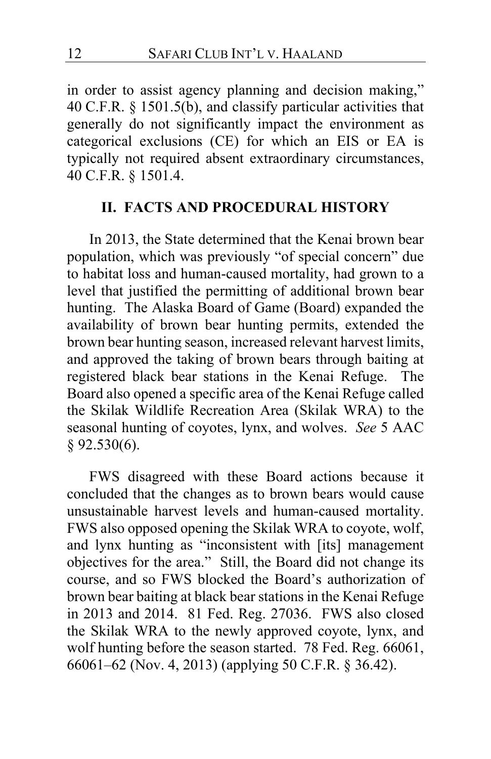in order to assist agency planning and decision making," 40 C.F.R. § 1501.5(b), and classify particular activities that generally do not significantly impact the environment as categorical exclusions (CE) for which an EIS or EA is typically not required absent extraordinary circumstances, 40 C.F.R. § 1501.4.

## **II. FACTS AND PROCEDURAL HISTORY**

In 2013, the State determined that the Kenai brown bear population, which was previously "of special concern" due to habitat loss and human-caused mortality, had grown to a level that justified the permitting of additional brown bear hunting. The Alaska Board of Game (Board) expanded the availability of brown bear hunting permits, extended the brown bear hunting season, increased relevant harvest limits, and approved the taking of brown bears through baiting at registered black bear stations in the Kenai Refuge.The Board also opened a specific area of the Kenai Refuge called the Skilak Wildlife Recreation Area (Skilak WRA) to the seasonal hunting of coyotes, lynx, and wolves. *See* 5 AAC § 92.530(6).

FWS disagreed with these Board actions because it concluded that the changes as to brown bears would cause unsustainable harvest levels and human-caused mortality. FWS also opposed opening the Skilak WRA to coyote, wolf, and lynx hunting as "inconsistent with [its] management objectives for the area."Still, the Board did not change its course, and so FWS blocked the Board's authorization of brown bear baiting at black bear stations in the Kenai Refuge in 2013 and 2014. 81 Fed. Reg. 27036. FWS also closed the Skilak WRA to the newly approved coyote, lynx, and wolf hunting before the season started. 78 Fed. Reg. 66061, 66061–62 (Nov. 4, 2013) (applying 50 C.F.R. § 36.42).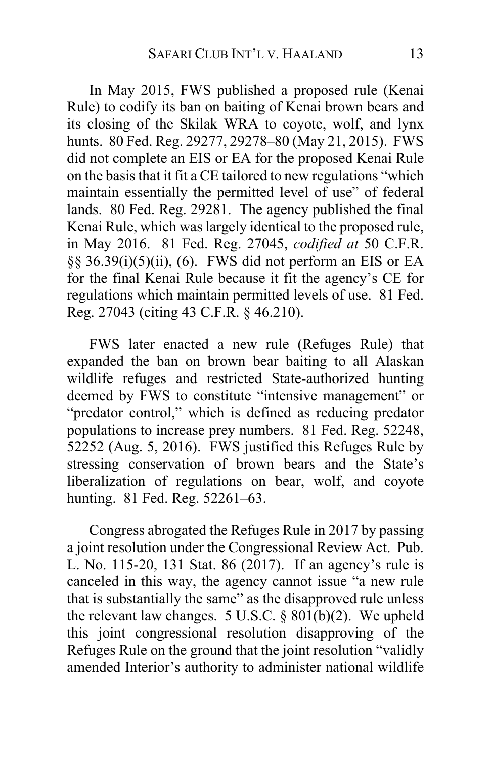In May 2015, FWS published a proposed rule (Kenai Rule) to codify its ban on baiting of Kenai brown bears and its closing of the Skilak WRA to coyote, wolf, and lynx hunts. 80 Fed. Reg. 29277, 29278–80 (May 21, 2015). FWS did not complete an EIS or EA for the proposed Kenai Rule on the basis that it fit a CE tailored to new regulations "which maintain essentially the permitted level of use" of federal lands. 80 Fed. Reg. 29281. The agency published the final Kenai Rule, which was largely identical to the proposed rule, in May 2016. 81 Fed. Reg. 27045, *codified at* 50 C.F.R.  $\S$ § 36.39(i)(5)(ii), (6). FWS did not perform an EIS or EA for the final Kenai Rule because it fit the agency's CE for regulations which maintain permitted levels of use. 81 Fed. Reg. 27043 (citing 43 C.F.R. § 46.210).

FWS later enacted a new rule (Refuges Rule) that expanded the ban on brown bear baiting to all Alaskan wildlife refuges and restricted State-authorized hunting deemed by FWS to constitute "intensive management" or "predator control," which is defined as reducing predator populations to increase prey numbers. 81 Fed. Reg. 52248, 52252 (Aug. 5, 2016). FWS justified this Refuges Rule by stressing conservation of brown bears and the State's liberalization of regulations on bear, wolf, and coyote hunting. 81 Fed. Reg. 52261–63.

Congress abrogated the Refuges Rule in 2017 by passing a joint resolution under the Congressional Review Act. Pub. L. No. 115-20, 131 Stat. 86 (2017). If an agency's rule is canceled in this way, the agency cannot issue "a new rule that is substantially the same" as the disapproved rule unless the relevant law changes.  $5 \text{ U.S.C.} \$ §  $801(b)(2)$ . We upheld this joint congressional resolution disapproving of the Refuges Rule on the ground that the joint resolution "validly amended Interior's authority to administer national wildlife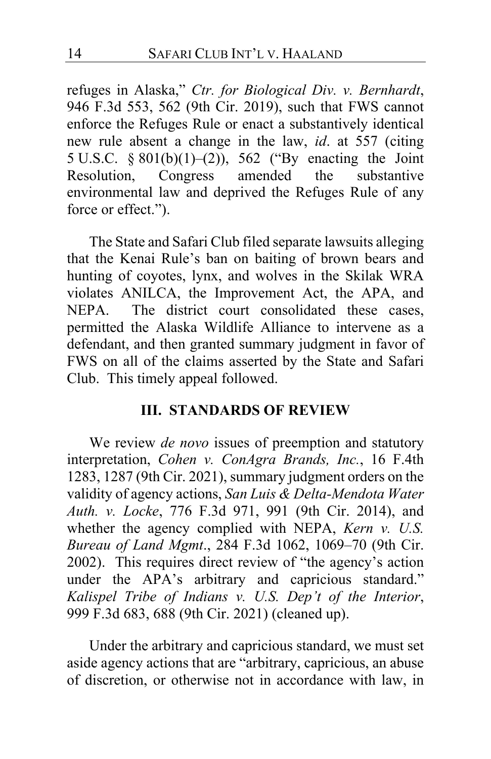refuges in Alaska," *Ctr. for Biological Div. v. Bernhardt*, 946 F.3d 553, 562 (9th Cir. 2019), such that FWS cannot enforce the Refuges Rule or enact a substantively identical new rule absent a change in the law, *id*. at 557 (citing 5 U.S.C.  $\S 801(b)(1)-(2)$ , 562 ("By enacting the Joint Resolution, Congress amended the substantive Congress amended environmental law and deprived the Refuges Rule of any force or effect.").

The State and Safari Club filed separate lawsuits alleging that the Kenai Rule's ban on baiting of brown bears and hunting of coyotes, lynx, and wolves in the Skilak WRA violates ANILCA, the Improvement Act, the APA, and NEPA.The district court consolidated these cases, permitted the Alaska Wildlife Alliance to intervene as a defendant, and then granted summary judgment in favor of FWS on all of the claims asserted by the State and Safari Club.This timely appeal followed.

# **III. STANDARDS OF REVIEW**

We review *de novo* issues of preemption and statutory interpretation, *Cohen v. ConAgra Brands, Inc.*, 16 F.4th 1283, 1287 (9th Cir. 2021), summary judgment orders on the validity of agency actions, *San Luis & Delta-Mendota Water Auth. v. Locke*, 776 F.3d 971, 991 (9th Cir. 2014), and whether the agency complied with NEPA, *Kern v. U.S. Bureau of Land Mgmt*., 284 F.3d 1062, 1069–70 (9th Cir. 2002). This requires direct review of "the agency's action under the APA's arbitrary and capricious standard." *Kalispel Tribe of Indians v. U.S. Dep't of the Interior*, 999 F.3d 683, 688 (9th Cir. 2021) (cleaned up).

Under the arbitrary and capricious standard, we must set aside agency actions that are "arbitrary, capricious, an abuse of discretion, or otherwise not in accordance with law, in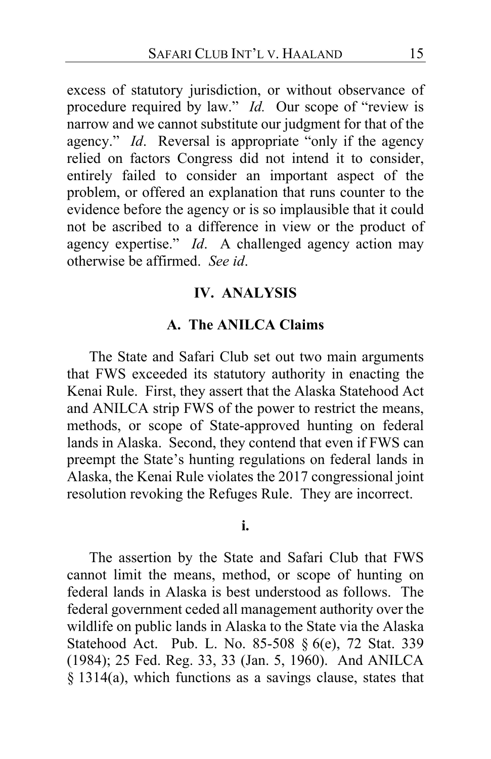excess of statutory jurisdiction, or without observance of procedure required by law." *Id.* Our scope of "review is narrow and we cannot substitute our judgment for that of the agency." *Id*. Reversal is appropriate "only if the agency relied on factors Congress did not intend it to consider, entirely failed to consider an important aspect of the problem, or offered an explanation that runs counter to the evidence before the agency or is so implausible that it could not be ascribed to a difference in view or the product of agency expertise." *Id*. A challenged agency action may otherwise be affirmed. *See id*.

# **IV. ANALYSIS**

### **A. The ANILCA Claims**

The State and Safari Club set out two main arguments that FWS exceeded its statutory authority in enacting the Kenai Rule. First, they assert that the Alaska Statehood Act and ANILCA strip FWS of the power to restrict the means, methods, or scope of State-approved hunting on federal lands in Alaska.Second, they contend that even if FWS can preempt the State's hunting regulations on federal lands in Alaska, the Kenai Rule violates the 2017 congressional joint resolution revoking the Refuges Rule.They are incorrect.

### **i.**

The assertion by the State and Safari Club that FWS cannot limit the means, method, or scope of hunting on federal lands in Alaska is best understood as follows. The federal government ceded all management authority over the wildlife on public lands in Alaska to the State via the Alaska Statehood Act. Pub. L. No. 85-508 § 6(e), 72 Stat. 339 (1984); 25 Fed. Reg. 33, 33 (Jan. 5, 1960). And ANILCA § 1314(a), which functions as a savings clause, states that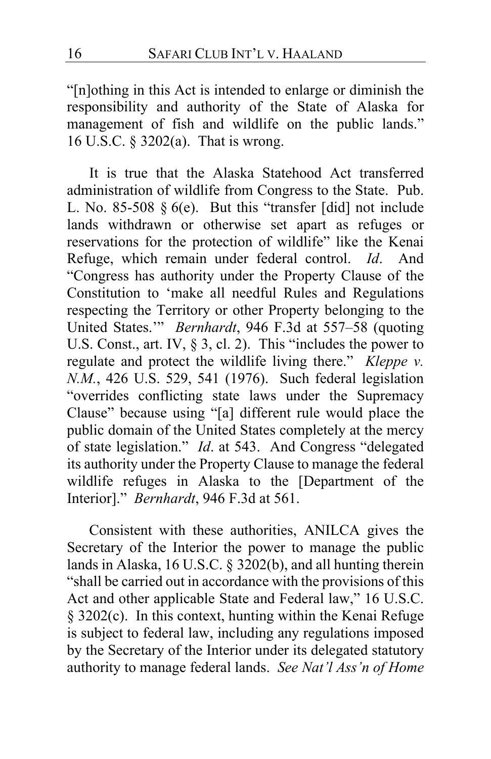"[n]othing in this Act is intended to enlarge or diminish the responsibility and authority of the State of Alaska for management of fish and wildlife on the public lands." 16 U.S.C. § 3202(a). That is wrong.

It is true that the Alaska Statehood Act transferred administration of wildlife from Congress to the State. Pub. L. No. 85-508  $\S$  6(e). But this "transfer [did] not include lands withdrawn or otherwise set apart as refuges or reservations for the protection of wildlife" like the Kenai Refuge, which remain under federal control. *Id*. And "Congress has authority under the Property Clause of the Constitution to 'make all needful Rules and Regulations respecting the Territory or other Property belonging to the United States.'" *Bernhardt*, 946 F.3d at 557–58 (quoting U.S. Const., art. IV, § 3, cl. 2). This "includes the power to regulate and protect the wildlife living there." *Kleppe v. N.M.*, 426 U.S. 529, 541 (1976). Such federal legislation "overrides conflicting state laws under the Supremacy Clause" because using "[a] different rule would place the public domain of the United States completely at the mercy of state legislation." *Id*. at 543. And Congress "delegated its authority under the Property Clause to manage the federal wildlife refuges in Alaska to the [Department of the Interior]." *Bernhardt*, 946 F.3d at 561.

Consistent with these authorities, ANILCA gives the Secretary of the Interior the power to manage the public lands in Alaska, 16 U.S.C. § 3202(b), and all hunting therein "shall be carried out in accordance with the provisions of this Act and other applicable State and Federal law," 16 U.S.C. § 3202(c). In this context, hunting within the Kenai Refuge is subject to federal law, including any regulations imposed by the Secretary of the Interior under its delegated statutory authority to manage federal lands. *See Nat'l Ass'n of Home*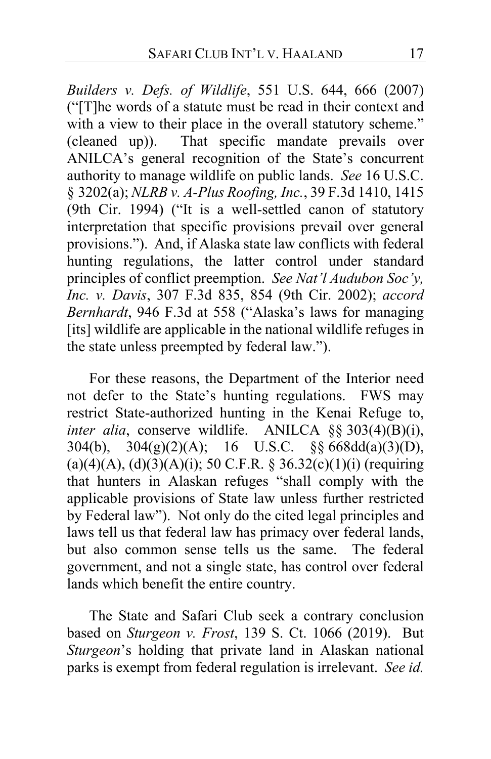*Builders v. Defs. of Wildlife*, 551 U.S. 644, 666 (2007) ("[T]he words of a statute must be read in their context and with a view to their place in the overall statutory scheme." (cleaned up)). That specific mandate prevails over ANILCA's general recognition of the State's concurrent authority to manage wildlife on public lands. *See* 16 U.S.C. § 3202(a); *NLRB v. A-Plus Roofing, Inc.*, 39 F.3d 1410, 1415 (9th Cir. 1994) ("It is a well-settled canon of statutory interpretation that specific provisions prevail over general provisions."). And, if Alaska state law conflicts with federal hunting regulations, the latter control under standard principles of conflict preemption. *See Nat'l Audubon Soc'y, Inc. v. Davis*, 307 F.3d 835, 854 (9th Cir. 2002); *accord Bernhardt*, 946 F.3d at 558 ("Alaska's laws for managing [its] wildlife are applicable in the national wildlife refuges in the state unless preempted by federal law.").

For these reasons, the Department of the Interior need not defer to the State's hunting regulations. FWS may restrict State-authorized hunting in the Kenai Refuge to, *inter alia*, conserve wildlife. ANILCA §§ 303(4)(B)(i), 304(b),  $304(g)(2)(A)$ ; 16 U.S.C. §§ 668dd(a)(3)(D),  $(a)(4)(A), (d)(3)(A)(i);$  50 C.F.R. § 36.32(c)(1)(i) (requiring that hunters in Alaskan refuges "shall comply with the applicable provisions of State law unless further restricted by Federal law"). Not only do the cited legal principles and laws tell us that federal law has primacy over federal lands, but also common sense tells us the same. The federal government, and not a single state, has control over federal lands which benefit the entire country.

The State and Safari Club seek a contrary conclusion based on *Sturgeon v. Frost*, 139 S. Ct. 1066 (2019). But *Sturgeon*'s holding that private land in Alaskan national parks is exempt from federal regulation is irrelevant. *See id.*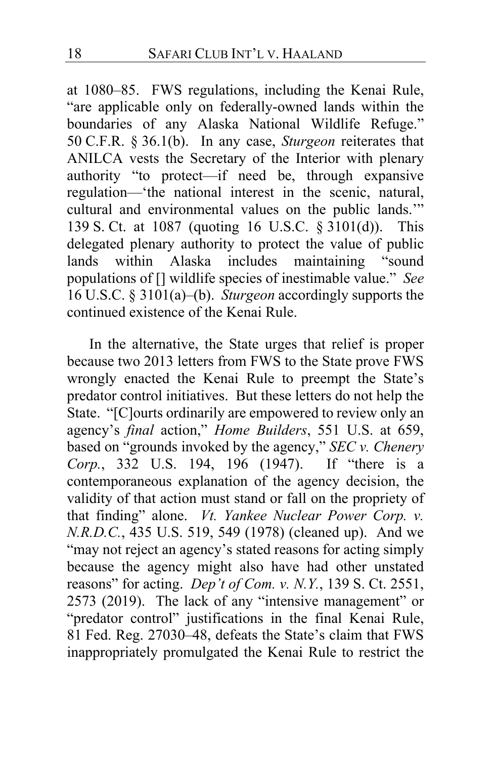at 1080–85. FWS regulations, including the Kenai Rule, "are applicable only on federally-owned lands within the boundaries of any Alaska National Wildlife Refuge." 50 C.F.R. § 36.1(b). In any case, *Sturgeon* reiterates that ANILCA vests the Secretary of the Interior with plenary authority "to protect—if need be, through expansive regulation—'the national interest in the scenic, natural, cultural and environmental values on the public lands.'" 139 S. Ct. at 1087 (quoting 16 U.S.C. § 3101(d)). This delegated plenary authority to protect the value of public lands within Alaska includes maintaining "sound populations of [] wildlife species of inestimable value." *See*  16 U.S.C. § 3101(a)–(b). *Sturgeon* accordingly supports the continued existence of the Kenai Rule.

In the alternative, the State urges that relief is proper because two 2013 letters from FWS to the State prove FWS wrongly enacted the Kenai Rule to preempt the State's predator control initiatives.But these letters do not help the State. "[C]ourts ordinarily are empowered to review only an agency's *final* action," *Home Builders*, 551 U.S. at 659, based on "grounds invoked by the agency," *SEC v. Chenery Corp.*, 332 U.S. 194, 196 (1947). If "there is a contemporaneous explanation of the agency decision, the validity of that action must stand or fall on the propriety of that finding" alone. *Vt. Yankee Nuclear Power Corp. v. N.R.D.C.*, 435 U.S. 519, 549 (1978) (cleaned up). And we "may not reject an agency's stated reasons for acting simply because the agency might also have had other unstated reasons" for acting. *Dep't of Com. v. N.Y.*, 139 S. Ct. 2551, 2573 (2019). The lack of any "intensive management" or "predator control" justifications in the final Kenai Rule, 81 Fed. Reg. 27030–48, defeats the State's claim that FWS inappropriately promulgated the Kenai Rule to restrict the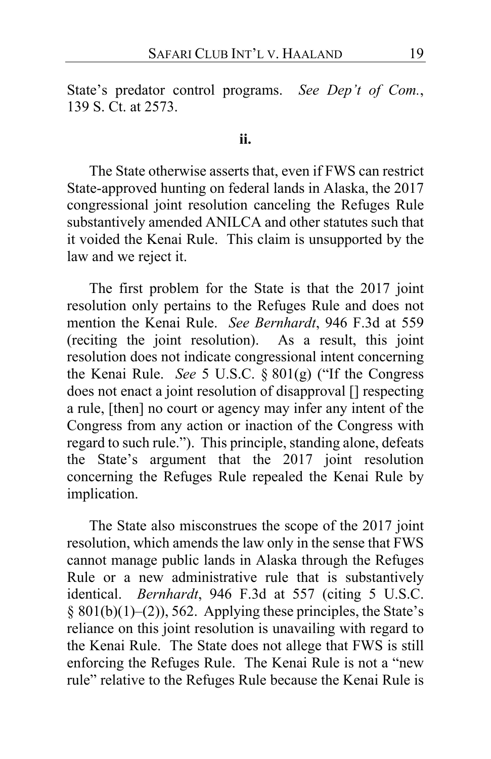State's predator control programs. *See Dep't of Com.*, 139 S. Ct. at 2573.

### **ii.**

The State otherwise asserts that, even if FWS can restrict State-approved hunting on federal lands in Alaska, the 2017 congressional joint resolution canceling the Refuges Rule substantively amended ANILCA and other statutes such that it voided the Kenai Rule.This claim is unsupported by the law and we reject it.

The first problem for the State is that the 2017 joint resolution only pertains to the Refuges Rule and does not mention the Kenai Rule. *See Bernhardt*, 946 F.3d at 559 (reciting the joint resolution). As a result, this joint resolution does not indicate congressional intent concerning the Kenai Rule. *See* 5 U.S.C. § 801(g) ("If the Congress does not enact a joint resolution of disapproval [] respecting a rule, [then] no court or agency may infer any intent of the Congress from any action or inaction of the Congress with regard to such rule."). This principle, standing alone, defeats the State's argument that the 2017 joint resolution concerning the Refuges Rule repealed the Kenai Rule by implication.

The State also misconstrues the scope of the 2017 joint resolution, which amends the law only in the sense that FWS cannot manage public lands in Alaska through the Refuges Rule or a new administrative rule that is substantively identical. *Bernhardt*, 946 F.3d at 557 (citing 5 U.S.C.  $§ 801(b)(1)–(2)$ , 562. Applying these principles, the State's reliance on this joint resolution is unavailing with regard to the Kenai Rule. The State does not allege that FWS is still enforcing the Refuges Rule.The Kenai Rule is not a "new rule" relative to the Refuges Rule because the Kenai Rule is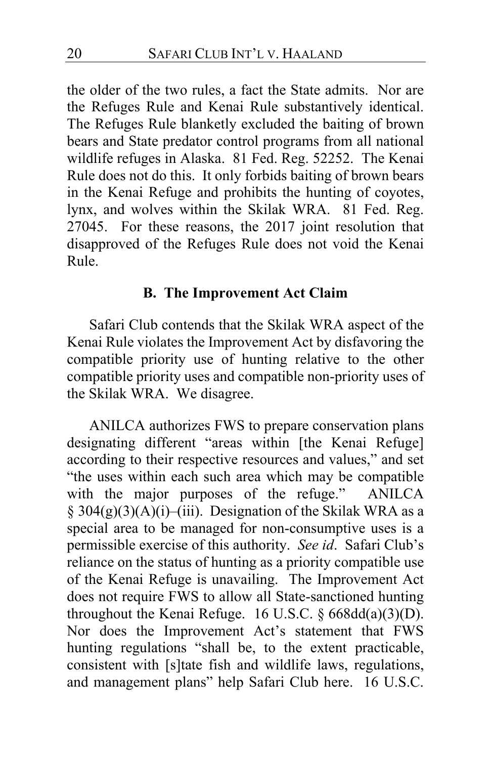the older of the two rules, a fact the State admits. Nor are the Refuges Rule and Kenai Rule substantively identical. The Refuges Rule blanketly excluded the baiting of brown bears and State predator control programs from all national wildlife refuges in Alaska. 81 Fed. Reg. 52252. The Kenai Rule does not do this. It only forbids baiting of brown bears in the Kenai Refuge and prohibits the hunting of coyotes, lynx, and wolves within the Skilak WRA. 81 Fed. Reg. 27045. For these reasons, the 2017 joint resolution that disapproved of the Refuges Rule does not void the Kenai Rule.

# **B. The Improvement Act Claim**

Safari Club contends that the Skilak WRA aspect of the Kenai Rule violates the Improvement Act by disfavoring the compatible priority use of hunting relative to the other compatible priority uses and compatible non-priority uses of the Skilak WRA. We disagree.

ANILCA authorizes FWS to prepare conservation plans designating different "areas within [the Kenai Refuge] according to their respective resources and values," and set "the uses within each such area which may be compatible<br>with the major purposes of the refuge." ANILCA with the major purposes of the refuge."  $\S$  304(g)(3)(A)(i)–(iii). Designation of the Skilak WRA as a special area to be managed for non-consumptive uses is a permissible exercise of this authority. *See id*. Safari Club's reliance on the status of hunting as a priority compatible use of the Kenai Refuge is unavailing. The Improvement Act does not require FWS to allow all State-sanctioned hunting throughout the Kenai Refuge. 16 U.S.C.  $\S 668dd(a)(3)(D)$ . Nor does the Improvement Act's statement that FWS hunting regulations "shall be, to the extent practicable, consistent with [s]tate fish and wildlife laws, regulations, and management plans" help Safari Club here. 16 U.S.C.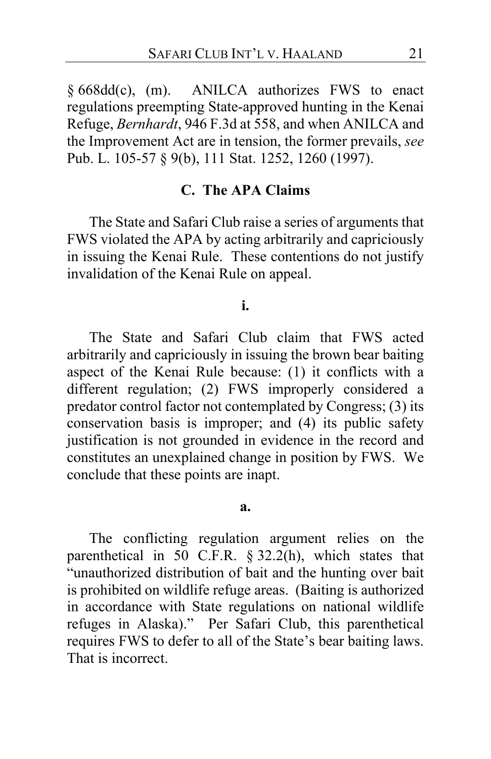§ 668dd(c), (m). ANILCA authorizes FWS to enact regulations preempting State-approved hunting in the Kenai Refuge, *Bernhardt*, 946 F.3d at 558, and when ANILCA and the Improvement Act are in tension, the former prevails, *see*  Pub. L. 105-57 § 9(b), 111 Stat. 1252, 1260 (1997).

# **C. The APA Claims**

The State and Safari Club raise a series of arguments that FWS violated the APA by acting arbitrarily and capriciously in issuing the Kenai Rule.These contentions do not justify invalidation of the Kenai Rule on appeal.

#### **i.**

The State and Safari Club claim that FWS acted arbitrarily and capriciously in issuing the brown bear baiting aspect of the Kenai Rule because: (1) it conflicts with a different regulation; (2) FWS improperly considered a predator control factor not contemplated by Congress; (3) its conservation basis is improper; and (4) its public safety justification is not grounded in evidence in the record and constitutes an unexplained change in position by FWS. We conclude that these points are inapt.

#### **a.**

The conflicting regulation argument relies on the parenthetical in 50 C.F.R. § 32.2(h), which states that "unauthorized distribution of bait and the hunting over bait is prohibited on wildlife refuge areas. (Baiting is authorized in accordance with State regulations on national wildlife refuges in Alaska)."Per Safari Club, this parenthetical requires FWS to defer to all of the State's bear baiting laws. That is incorrect.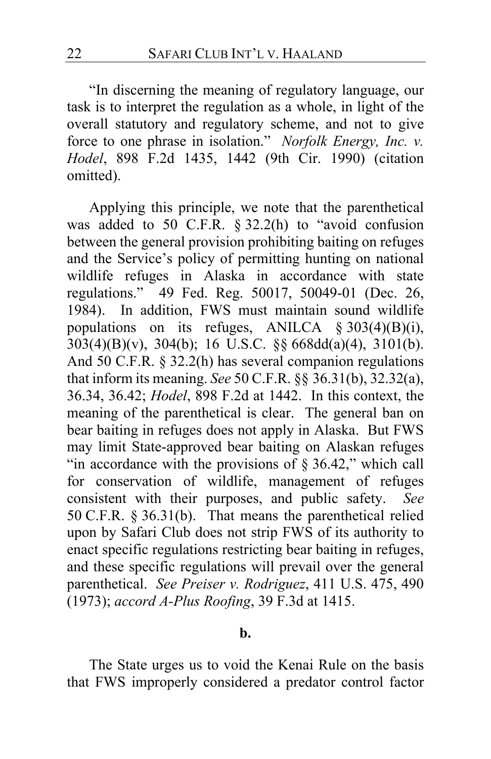"In discerning the meaning of regulatory language, our task is to interpret the regulation as a whole, in light of the overall statutory and regulatory scheme, and not to give force to one phrase in isolation." *Norfolk Energy, Inc. v. Hodel*, 898 F.2d 1435, 1442 (9th Cir. 1990) (citation omitted).

Applying this principle, we note that the parenthetical was added to 50 C.F.R. § 32.2(h) to "avoid confusion between the general provision prohibiting baiting on refuges and the Service's policy of permitting hunting on national wildlife refuges in Alaska in accordance with state regulations." 49 Fed. Reg. 50017, 50049-01 (Dec. 26, 1984). In addition, FWS must maintain sound wildlife populations on its refuges, ANILCA  $\S 303(4)(B)(i)$ , 303(4)(B)(v), 304(b); 16 U.S.C. §§ 668dd(a)(4), 3101(b). And 50 C.F.R. § 32.2(h) has several companion regulations that inform its meaning. *See* 50 C.F.R. §§ 36.31(b), 32.32(a), 36.34, 36.42; *Hodel*, 898 F.2d at 1442. In this context, the meaning of the parenthetical is clear. The general ban on bear baiting in refuges does not apply in Alaska. But FWS may limit State-approved bear baiting on Alaskan refuges "in accordance with the provisions of § 36.42," which call for conservation of wildlife, management of refuges consistent with their purposes, and public safety. *See*  50 C.F.R. § 36.31(b). That means the parenthetical relied upon by Safari Club does not strip FWS of its authority to enact specific regulations restricting bear baiting in refuges, and these specific regulations will prevail over the general parenthetical. *See Preiser v. Rodriguez*, 411 U.S. 475, 490 (1973); *accord A-Plus Roofing*, 39 F.3d at 1415.

### **b.**

The State urges us to void the Kenai Rule on the basis that FWS improperly considered a predator control factor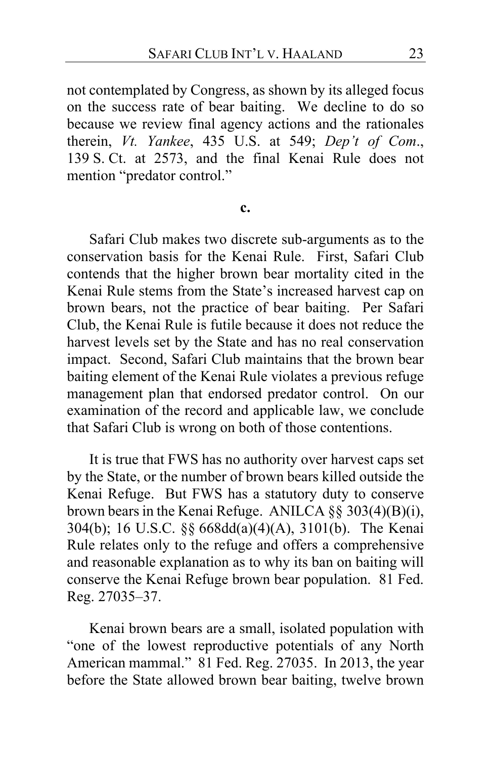not contemplated by Congress, as shown by its alleged focus on the success rate of bear baiting.We decline to do so because we review final agency actions and the rationales therein, *Vt. Yankee*, 435 U.S. at 549; *Dep't of Com*., 139 S. Ct. at 2573, and the final Kenai Rule does not mention "predator control."

#### **c.**

Safari Club makes two discrete sub-arguments as to the conservation basis for the Kenai Rule.First, Safari Club contends that the higher brown bear mortality cited in the Kenai Rule stems from the State's increased harvest cap on brown bears, not the practice of bear baiting.Per Safari Club, the Kenai Rule is futile because it does not reduce the harvest levels set by the State and has no real conservation impact.Second, Safari Club maintains that the brown bear baiting element of the Kenai Rule violates a previous refuge management plan that endorsed predator control. On our examination of the record and applicable law, we conclude that Safari Club is wrong on both of those contentions.

It is true that FWS has no authority over harvest caps set by the State, or the number of brown bears killed outside the Kenai Refuge.But FWS has a statutory duty to conserve brown bears in the Kenai Refuge. ANILCA §§ 303(4)(B)(i), 304(b); 16 U.S.C. §§ 668dd(a)(4)(A), 3101(b). The Kenai Rule relates only to the refuge and offers a comprehensive and reasonable explanation as to why its ban on baiting will conserve the Kenai Refuge brown bear population. 81 Fed. Reg. 27035–37.

Kenai brown bears are a small, isolated population with "one of the lowest reproductive potentials of any North American mammal." 81 Fed. Reg. 27035.In 2013, the year before the State allowed brown bear baiting, twelve brown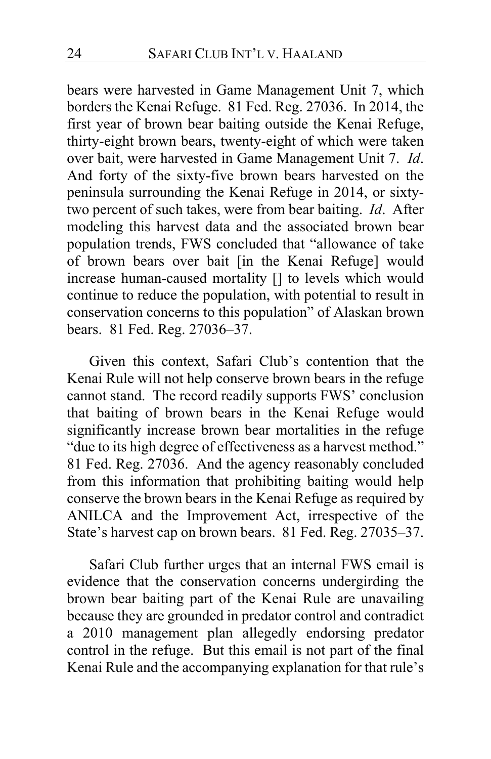bears were harvested in Game Management Unit 7, which borders the Kenai Refuge. 81 Fed. Reg. 27036.In 2014, the first year of brown bear baiting outside the Kenai Refuge, thirty-eight brown bears, twenty-eight of which were taken over bait, were harvested in Game Management Unit 7. *Id*. And forty of the sixty-five brown bears harvested on the peninsula surrounding the Kenai Refuge in 2014, or sixtytwo percent of such takes, were from bear baiting. *Id*.After modeling this harvest data and the associated brown bear population trends, FWS concluded that "allowance of take of brown bears over bait [in the Kenai Refuge] would increase human-caused mortality [] to levels which would continue to reduce the population, with potential to result in conservation concerns to this population" of Alaskan brown bears. 81 Fed. Reg. 27036–37.

Given this context, Safari Club's contention that the Kenai Rule will not help conserve brown bears in the refuge cannot stand.The record readily supports FWS' conclusion that baiting of brown bears in the Kenai Refuge would significantly increase brown bear mortalities in the refuge "due to its high degree of effectiveness as a harvest method." 81 Fed. Reg. 27036.And the agency reasonably concluded from this information that prohibiting baiting would help conserve the brown bears in the Kenai Refuge as required by ANILCA and the Improvement Act, irrespective of the State's harvest cap on brown bears. 81 Fed. Reg. 27035–37.

Safari Club further urges that an internal FWS email is evidence that the conservation concerns undergirding the brown bear baiting part of the Kenai Rule are unavailing because they are grounded in predator control and contradict a 2010 management plan allegedly endorsing predator control in the refuge. But this email is not part of the final Kenai Rule and the accompanying explanation for that rule's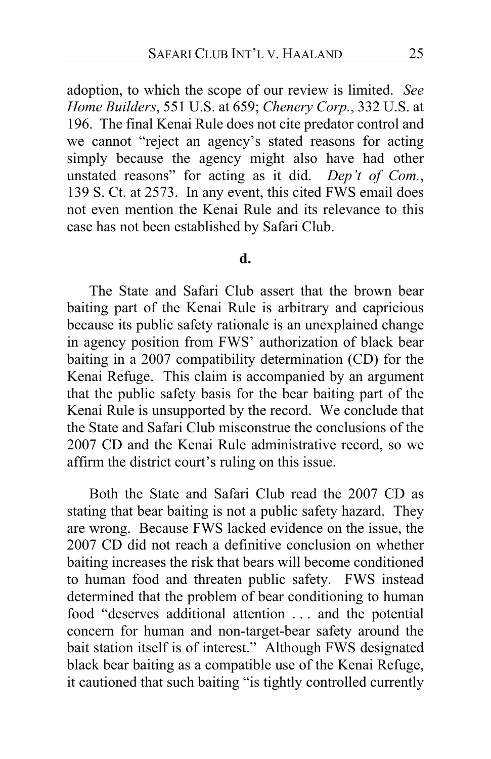adoption, to which the scope of our review is limited. *See Home Builders*, 551 U.S. at 659; *Chenery Corp.*, 332 U.S. at 196. The final Kenai Rule does not cite predator control and we cannot "reject an agency's stated reasons for acting simply because the agency might also have had other unstated reasons" for acting as it did. *Dep't of Com.*, 139 S. Ct. at 2573. In any event, this cited FWS email does not even mention the Kenai Rule and its relevance to this case has not been established by Safari Club.

### **d.**

The State and Safari Club assert that the brown bear baiting part of the Kenai Rule is arbitrary and capricious because its public safety rationale is an unexplained change in agency position from FWS' authorization of black bear baiting in a 2007 compatibility determination (CD) for the Kenai Refuge.This claim is accompanied by an argument that the public safety basis for the bear baiting part of the Kenai Rule is unsupported by the record. We conclude that the State and Safari Club misconstrue the conclusions of the 2007 CD and the Kenai Rule administrative record, so we affirm the district court's ruling on this issue.

Both the State and Safari Club read the 2007 CD as stating that bear baiting is not a public safety hazard.They are wrong. Because FWS lacked evidence on the issue, the 2007 CD did not reach a definitive conclusion on whether baiting increases the risk that bears will become conditioned to human food and threaten public safety. FWS instead determined that the problem of bear conditioning to human food "deserves additional attention . . . and the potential concern for human and non-target-bear safety around the bait station itself is of interest."Although FWS designated black bear baiting as a compatible use of the Kenai Refuge, it cautioned that such baiting "is tightly controlled currently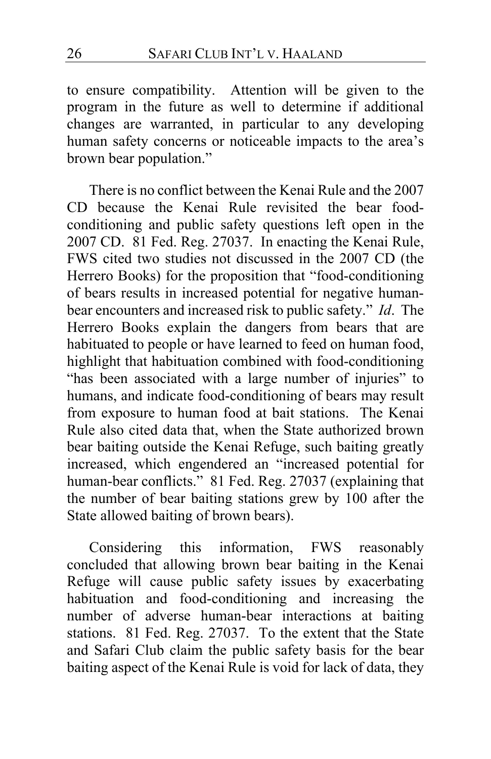to ensure compatibility. Attention will be given to the program in the future as well to determine if additional changes are warranted, in particular to any developing human safety concerns or noticeable impacts to the area's brown bear population."

There is no conflict between the Kenai Rule and the 2007 CD because the Kenai Rule revisited the bear foodconditioning and public safety questions left open in the 2007 CD. 81 Fed. Reg. 27037.In enacting the Kenai Rule, FWS cited two studies not discussed in the 2007 CD (the Herrero Books) for the proposition that "food-conditioning of bears results in increased potential for negative humanbear encounters and increased risk to public safety." *Id*.The Herrero Books explain the dangers from bears that are habituated to people or have learned to feed on human food, highlight that habituation combined with food-conditioning "has been associated with a large number of injuries" to humans, and indicate food-conditioning of bears may result from exposure to human food at bait stations.The Kenai Rule also cited data that, when the State authorized brown bear baiting outside the Kenai Refuge, such baiting greatly increased, which engendered an "increased potential for human-bear conflicts." 81 Fed. Reg. 27037 (explaining that the number of bear baiting stations grew by 100 after the State allowed baiting of brown bears).

Considering this information, FWS reasonably concluded that allowing brown bear baiting in the Kenai Refuge will cause public safety issues by exacerbating habituation and food-conditioning and increasing the number of adverse human-bear interactions at baiting stations. 81 Fed. Reg. 27037. To the extent that the State and Safari Club claim the public safety basis for the bear baiting aspect of the Kenai Rule is void for lack of data, they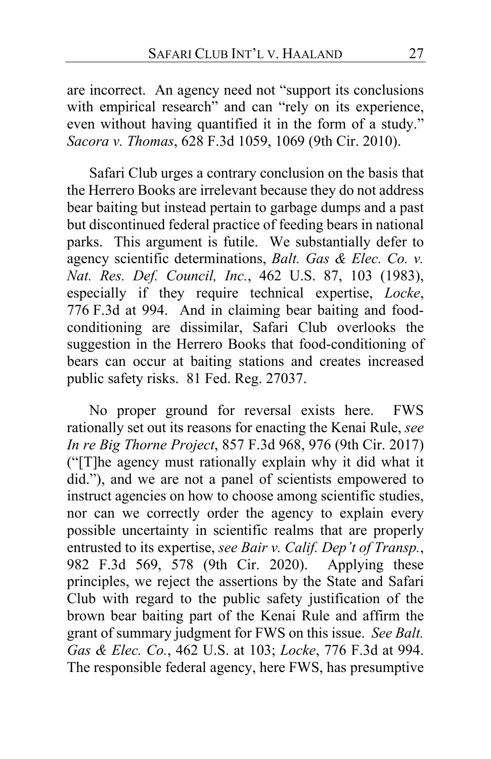are incorrect.An agency need not "support its conclusions with empirical research" and can "rely on its experience, even without having quantified it in the form of a study." *Sacora v. Thomas*, 628 F.3d 1059, 1069 (9th Cir. 2010).

Safari Club urges a contrary conclusion on the basis that the Herrero Books are irrelevant because they do not address bear baiting but instead pertain to garbage dumps and a past but discontinued federal practice of feeding bears in national parks. This argument is futile. We substantially defer to agency scientific determinations, *Balt. Gas & Elec. Co. v. Nat. Res. Def. Council, Inc.*, 462 U.S. 87, 103 (1983), especially if they require technical expertise, *Locke*, 776 F.3d at 994. And in claiming bear baiting and foodconditioning are dissimilar, Safari Club overlooks the suggestion in the Herrero Books that food-conditioning of bears can occur at baiting stations and creates increased public safety risks. 81 Fed. Reg. 27037.

No proper ground for reversal exists here. FWS rationally set out its reasons for enacting the Kenai Rule, *see In re Big Thorne Project*, 857 F.3d 968, 976 (9th Cir. 2017) ("[T]he agency must rationally explain why it did what it did."), and we are not a panel of scientists empowered to instruct agencies on how to choose among scientific studies, nor can we correctly order the agency to explain every possible uncertainty in scientific realms that are properly entrusted to its expertise, *see Bair v. Calif. Dep't of Transp.*, 982 F.3d 569, 578 (9th Cir. 2020). Applying these principles, we reject the assertions by the State and Safari Club with regard to the public safety justification of the brown bear baiting part of the Kenai Rule and affirm the grant of summary judgment for FWS on this issue. *See Balt. Gas & Elec. Co.*, 462 U.S. at 103; *Locke*, 776 F.3d at 994. The responsible federal agency, here FWS, has presumptive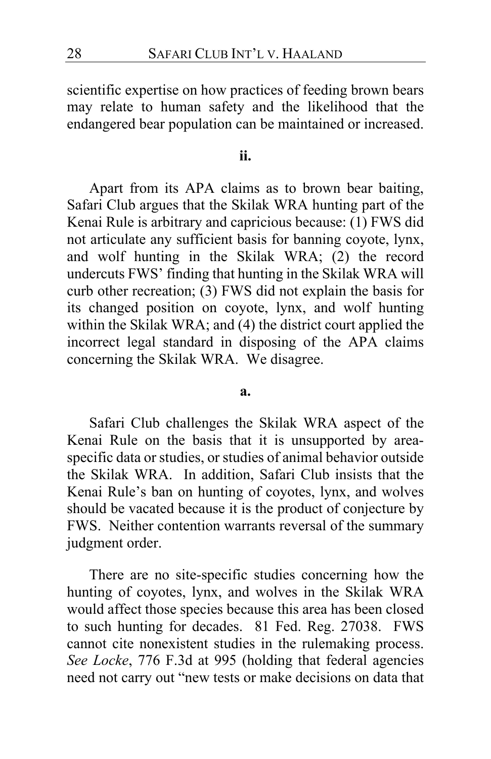scientific expertise on how practices of feeding brown bears may relate to human safety and the likelihood that the endangered bear population can be maintained or increased.

**ii.**

Apart from its APA claims as to brown bear baiting, Safari Club argues that the Skilak WRA hunting part of the Kenai Rule is arbitrary and capricious because: (1) FWS did not articulate any sufficient basis for banning coyote, lynx, and wolf hunting in the Skilak WRA; (2) the record undercuts FWS' finding that hunting in the Skilak WRA will curb other recreation; (3) FWS did not explain the basis for its changed position on coyote, lynx, and wolf hunting within the Skilak WRA; and (4) the district court applied the incorrect legal standard in disposing of the APA claims concerning the Skilak WRA. We disagree.

#### **a.**

Safari Club challenges the Skilak WRA aspect of the Kenai Rule on the basis that it is unsupported by areaspecific data or studies, or studies of animal behavior outside the Skilak WRA. In addition, Safari Club insists that the Kenai Rule's ban on hunting of coyotes, lynx, and wolves should be vacated because it is the product of conjecture by FWS.Neither contention warrants reversal of the summary judgment order.

There are no site-specific studies concerning how the hunting of coyotes, lynx, and wolves in the Skilak WRA would affect those species because this area has been closed to such hunting for decades. 81 Fed. Reg. 27038. FWS cannot cite nonexistent studies in the rulemaking process. *See Locke*, 776 F.3d at 995 (holding that federal agencies need not carry out "new tests or make decisions on data that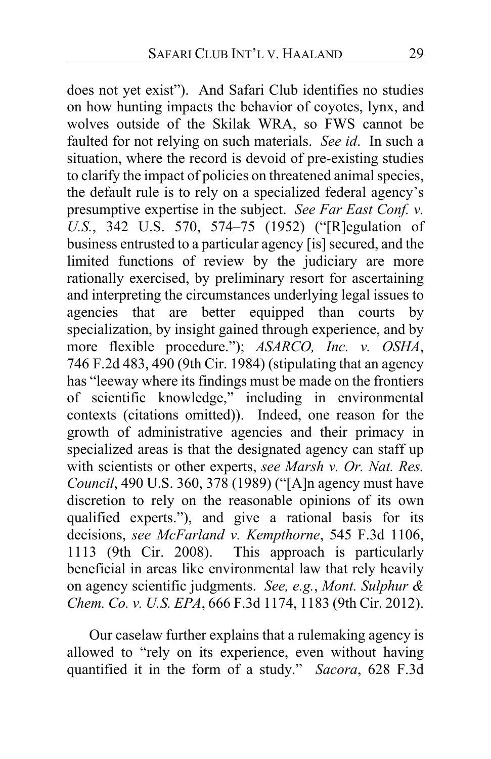does not yet exist"). And Safari Club identifies no studies on how hunting impacts the behavior of coyotes, lynx, and wolves outside of the Skilak WRA, so FWS cannot be faulted for not relying on such materials. *See id*. In such a situation, where the record is devoid of pre-existing studies to clarify the impact of policies on threatened animal species, the default rule is to rely on a specialized federal agency's presumptive expertise in the subject. *See Far East Conf. v. U.S.*, 342 U.S. 570, 574–75 (1952) ("[R]egulation of business entrusted to a particular agency [is] secured, and the limited functions of review by the judiciary are more rationally exercised, by preliminary resort for ascertaining and interpreting the circumstances underlying legal issues to agencies that are better equipped than courts by specialization, by insight gained through experience, and by more flexible procedure."); *ASARCO, Inc. v. OSHA*, 746 F.2d 483, 490 (9th Cir. 1984) (stipulating that an agency has "leeway where its findings must be made on the frontiers of scientific knowledge," including in environmental contexts (citations omitted)). Indeed, one reason for the growth of administrative agencies and their primacy in specialized areas is that the designated agency can staff up with scientists or other experts, *see Marsh v. Or. Nat. Res. Council*, 490 U.S. 360, 378 (1989) ("[A]n agency must have discretion to rely on the reasonable opinions of its own qualified experts."), and give a rational basis for its decisions, *see McFarland v. Kempthorne*, 545 F.3d 1106, 1113 (9th Cir. 2008). This approach is particularly beneficial in areas like environmental law that rely heavily on agency scientific judgments. *See, e.g.*, *Mont. Sulphur & Chem. Co. v. U.S. EPA*, 666 F.3d 1174, 1183 (9th Cir. 2012).

Our caselaw further explains that a rulemaking agency is allowed to "rely on its experience, even without having quantified it in the form of a study." *Sacora*, 628 F.3d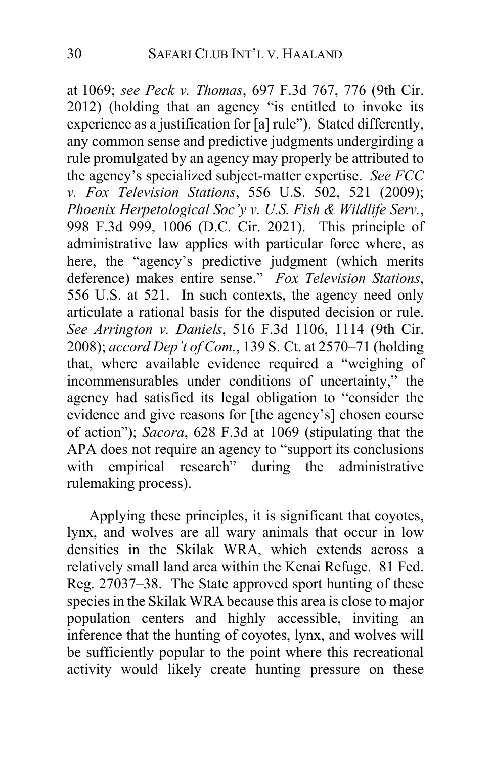at 1069; *see Peck v. Thomas*, 697 F.3d 767, 776 (9th Cir. 2012) (holding that an agency "is entitled to invoke its experience as a justification for [a] rule"). Stated differently, any common sense and predictive judgments undergirding a rule promulgated by an agency may properly be attributed to the agency's specialized subject-matter expertise. *See FCC v. Fox Television Stations*, 556 U.S. 502, 521 (2009); *Phoenix Herpetological Soc'y v. U.S. Fish & Wildlife Serv.*, 998 F.3d 999, 1006 (D.C. Cir. 2021). This principle of administrative law applies with particular force where, as here, the "agency's predictive judgment (which merits deference) makes entire sense." *Fox Television Stations*, 556 U.S. at 521. In such contexts, the agency need only articulate a rational basis for the disputed decision or rule. *See Arrington v. Daniels*, 516 F.3d 1106, 1114 (9th Cir. 2008); *accord Dep't of Com.*, 139 S. Ct. at 2570–71 (holding that, where available evidence required a "weighing of incommensurables under conditions of uncertainty," the agency had satisfied its legal obligation to "consider the evidence and give reasons for [the agency's] chosen course of action"); *Sacora*, 628 F.3d at 1069 (stipulating that the APA does not require an agency to "support its conclusions with empirical research" during the administrative rulemaking process).

Applying these principles, it is significant that coyotes, lynx, and wolves are all wary animals that occur in low densities in the Skilak WRA, which extends across a relatively small land area within the Kenai Refuge. 81 Fed. Reg. 27037–38. The State approved sport hunting of these species in the Skilak WRA because this area is close to major population centers and highly accessible, inviting an inference that the hunting of coyotes, lynx, and wolves will be sufficiently popular to the point where this recreational activity would likely create hunting pressure on these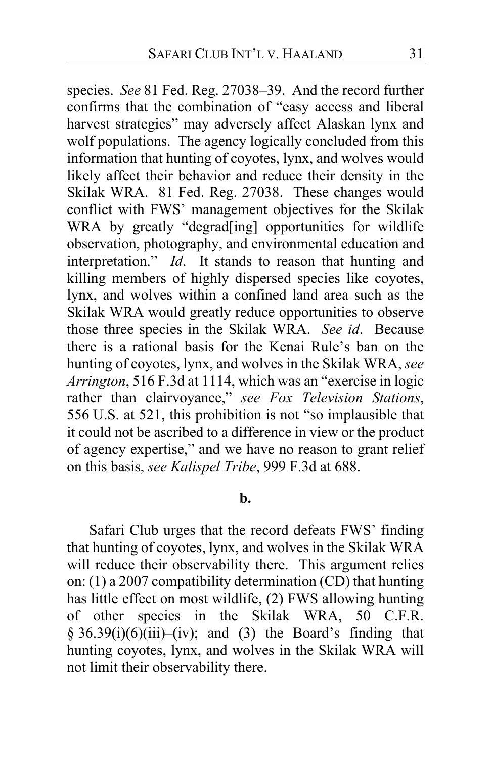species. *See* 81 Fed. Reg. 27038–39. And the record further confirms that the combination of "easy access and liberal harvest strategies" may adversely affect Alaskan lynx and wolf populations. The agency logically concluded from this information that hunting of coyotes, lynx, and wolves would likely affect their behavior and reduce their density in the Skilak WRA. 81 Fed. Reg. 27038.These changes would conflict with FWS' management objectives for the Skilak WRA by greatly "degrad[ing] opportunities for wildlife observation, photography, and environmental education and interpretation." *Id*. It stands to reason that hunting and killing members of highly dispersed species like coyotes, lynx, and wolves within a confined land area such as the Skilak WRA would greatly reduce opportunities to observe those three species in the Skilak WRA. *See id*.Because there is a rational basis for the Kenai Rule's ban on the hunting of coyotes, lynx, and wolves in the Skilak WRA, *see Arrington*, 516 F.3d at 1114, which was an "exercise in logic rather than clairvoyance," *see Fox Television Stations*, 556 U.S. at 521, this prohibition is not "so implausible that it could not be ascribed to a difference in view or the product of agency expertise," and we have no reason to grant relief on this basis, *see Kalispel Tribe*, 999 F.3d at 688.

### **b.**

Safari Club urges that the record defeats FWS' finding that hunting of coyotes, lynx, and wolves in the Skilak WRA will reduce their observability there.This argument relies on: (1) a 2007 compatibility determination (CD) that hunting has little effect on most wildlife, (2) FWS allowing hunting of other species in the Skilak WRA, 50 C.F.R.  $§ 36.39(i)(6)(iii)–(iv);$  and (3) the Board's finding that hunting coyotes, lynx, and wolves in the Skilak WRA will not limit their observability there.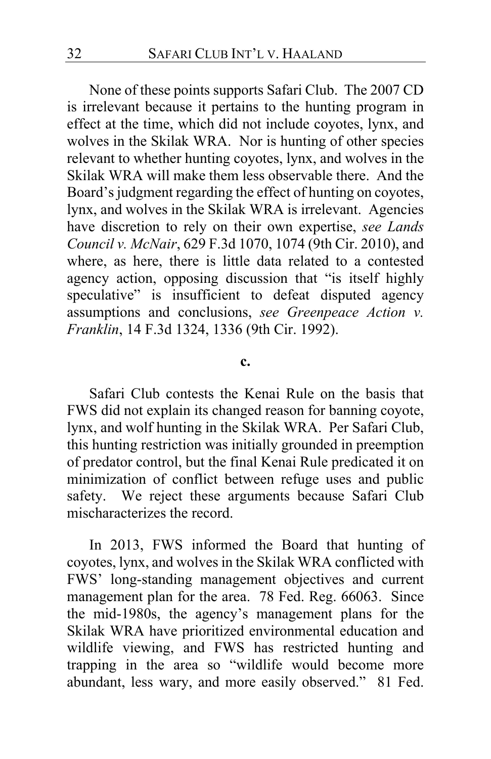None of these points supports Safari Club. The 2007 CD is irrelevant because it pertains to the hunting program in effect at the time, which did not include coyotes, lynx, and wolves in the Skilak WRA. Nor is hunting of other species relevant to whether hunting coyotes, lynx, and wolves in the Skilak WRA will make them less observable there.And the Board's judgment regarding the effect of hunting on coyotes, lynx, and wolves in the Skilak WRA is irrelevant. Agencies have discretion to rely on their own expertise, *see Lands Council v. McNair*, 629 F.3d 1070, 1074 (9th Cir. 2010), and where, as here, there is little data related to a contested agency action, opposing discussion that "is itself highly speculative" is insufficient to defeat disputed agency assumptions and conclusions, *see Greenpeace Action v. Franklin*, 14 F.3d 1324, 1336 (9th Cir. 1992).

#### **c.**

Safari Club contests the Kenai Rule on the basis that FWS did not explain its changed reason for banning coyote, lynx, and wolf hunting in the Skilak WRA. Per Safari Club, this hunting restriction was initially grounded in preemption of predator control, but the final Kenai Rule predicated it on minimization of conflict between refuge uses and public safety. We reject these arguments because Safari Club mischaracterizes the record.

In 2013, FWS informed the Board that hunting of coyotes, lynx, and wolves in the Skilak WRA conflicted with FWS' long-standing management objectives and current management plan for the area. 78 Fed. Reg. 66063. Since the mid-1980s, the agency's management plans for the Skilak WRA have prioritized environmental education and wildlife viewing, and FWS has restricted hunting and trapping in the area so "wildlife would become more abundant, less wary, and more easily observed." 81 Fed.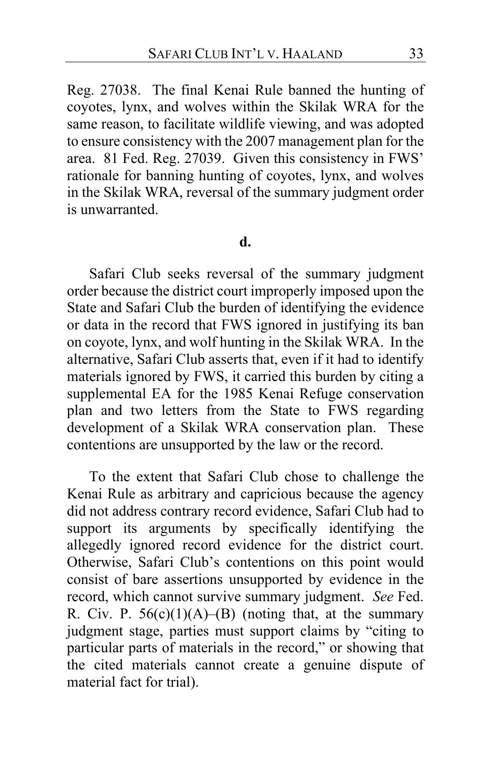Reg. 27038.The final Kenai Rule banned the hunting of coyotes, lynx, and wolves within the Skilak WRA for the same reason, to facilitate wildlife viewing, and was adopted to ensure consistency with the 2007 management plan for the area. 81 Fed. Reg. 27039.Given this consistency in FWS' rationale for banning hunting of coyotes, lynx, and wolves in the Skilak WRA, reversal of the summary judgment order is unwarranted.

### **d.**

Safari Club seeks reversal of the summary judgment order because the district court improperly imposed upon the State and Safari Club the burden of identifying the evidence or data in the record that FWS ignored in justifying its ban on coyote, lynx, and wolf hunting in the Skilak WRA. In the alternative, Safari Club asserts that, even if it had to identify materials ignored by FWS, it carried this burden by citing a supplemental EA for the 1985 Kenai Refuge conservation plan and two letters from the State to FWS regarding development of a Skilak WRA conservation plan.These contentions are unsupported by the law or the record.

To the extent that Safari Club chose to challenge the Kenai Rule as arbitrary and capricious because the agency did not address contrary record evidence, Safari Club had to support its arguments by specifically identifying the allegedly ignored record evidence for the district court. Otherwise, Safari Club's contentions on this point would consist of bare assertions unsupported by evidence in the record, which cannot survive summary judgment. *See* Fed. R. Civ. P.  $56(c)(1)(A)$ –(B) (noting that, at the summary judgment stage, parties must support claims by "citing to particular parts of materials in the record," or showing that the cited materials cannot create a genuine dispute of material fact for trial).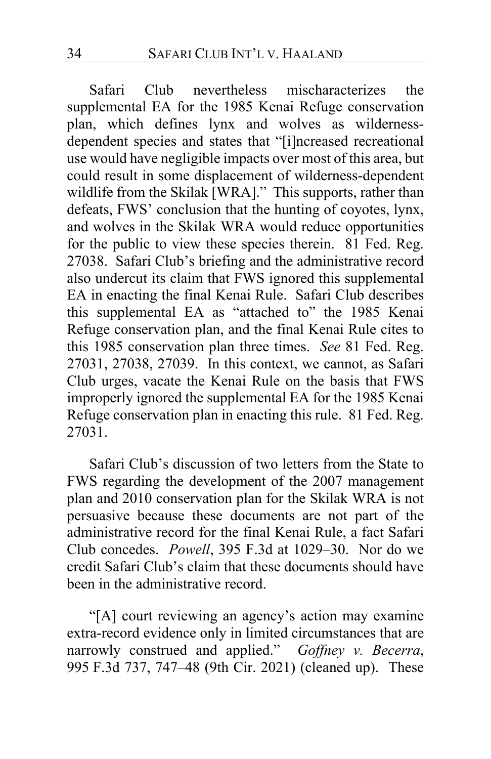Safari Club nevertheless mischaracterizes the supplemental EA for the 1985 Kenai Refuge conservation plan, which defines lynx and wolves as wildernessdependent species and states that "[i]ncreased recreational use would have negligible impacts over most of this area, but could result in some displacement of wilderness-dependent wildlife from the Skilak [WRA]."This supports, rather than defeats, FWS' conclusion that the hunting of coyotes, lynx, and wolves in the Skilak WRA would reduce opportunities for the public to view these species therein. 81 Fed. Reg. 27038.Safari Club's briefing and the administrative record also undercut its claim that FWS ignored this supplemental EA in enacting the final Kenai Rule. Safari Club describes this supplemental EA as "attached to" the 1985 Kenai Refuge conservation plan, and the final Kenai Rule cites to this 1985 conservation plan three times. *See* 81 Fed. Reg. 27031, 27038, 27039. In this context, we cannot, as Safari Club urges, vacate the Kenai Rule on the basis that FWS improperly ignored the supplemental EA for the 1985 Kenai Refuge conservation plan in enacting this rule. 81 Fed. Reg. 27031.

Safari Club's discussion of two letters from the State to FWS regarding the development of the 2007 management plan and 2010 conservation plan for the Skilak WRA is not persuasive because these documents are not part of the administrative record for the final Kenai Rule, a fact Safari Club concedes. *Powell*, 395 F.3d at 1029–30. Nor do we credit Safari Club's claim that these documents should have been in the administrative record.

"[A] court reviewing an agency's action may examine extra-record evidence only in limited circumstances that are narrowly construed and applied." *Goffney v. Becerra*, 995 F.3d 737, 747–48 (9th Cir. 2021) (cleaned up). These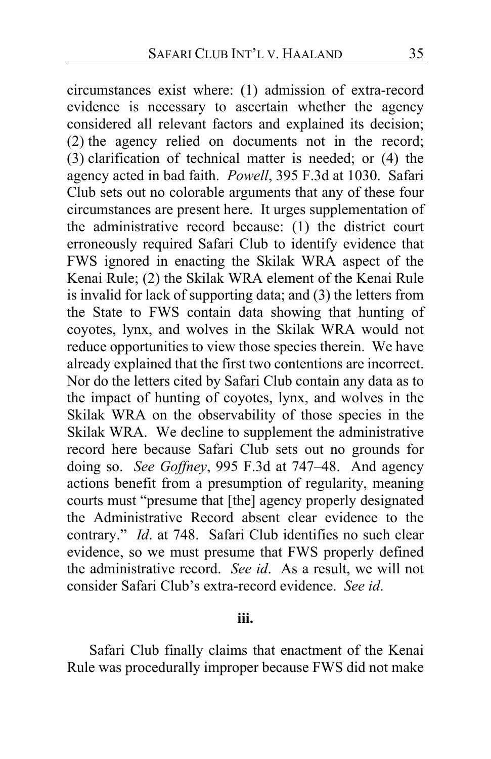circumstances exist where: (1) admission of extra-record evidence is necessary to ascertain whether the agency considered all relevant factors and explained its decision; (2) the agency relied on documents not in the record; (3) clarification of technical matter is needed; or (4) the agency acted in bad faith. *Powell*, 395 F.3d at 1030. Safari Club sets out no colorable arguments that any of these four circumstances are present here. It urges supplementation of the administrative record because: (1) the district court erroneously required Safari Club to identify evidence that FWS ignored in enacting the Skilak WRA aspect of the Kenai Rule; (2) the Skilak WRA element of the Kenai Rule is invalid for lack of supporting data; and (3) the letters from the State to FWS contain data showing that hunting of coyotes, lynx, and wolves in the Skilak WRA would not reduce opportunities to view those species therein.We have already explained that the first two contentions are incorrect. Nor do the letters cited by Safari Club contain any data as to the impact of hunting of coyotes, lynx, and wolves in the Skilak WRA on the observability of those species in the Skilak WRA.We decline to supplement the administrative record here because Safari Club sets out no grounds for doing so. *See Goffney*, 995 F.3d at 747–48. And agency actions benefit from a presumption of regularity, meaning courts must "presume that [the] agency properly designated the Administrative Record absent clear evidence to the contrary." *Id*. at 748. Safari Club identifies no such clear evidence, so we must presume that FWS properly defined the administrative record. *See id*. As a result, we will not consider Safari Club's extra-record evidence. *See id*.

### **iii.**

Safari Club finally claims that enactment of the Kenai Rule was procedurally improper because FWS did not make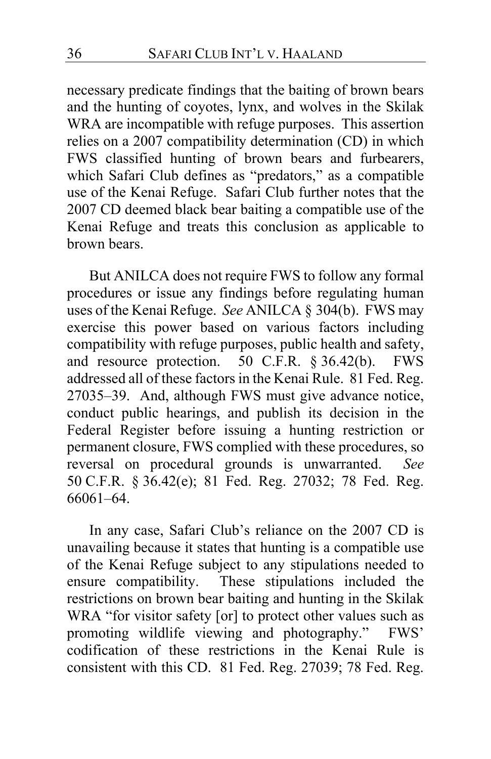necessary predicate findings that the baiting of brown bears and the hunting of coyotes, lynx, and wolves in the Skilak WRA are incompatible with refuge purposes. This assertion relies on a 2007 compatibility determination (CD) in which FWS classified hunting of brown bears and furbearers, which Safari Club defines as "predators," as a compatible use of the Kenai Refuge.Safari Club further notes that the 2007 CD deemed black bear baiting a compatible use of the Kenai Refuge and treats this conclusion as applicable to brown bears.

But ANILCA does not require FWS to follow any formal procedures or issue any findings before regulating human uses of the Kenai Refuge. *See* ANILCA § 304(b). FWS may exercise this power based on various factors including compatibility with refuge purposes, public health and safety, and resource protection. 50 C.F.R. § 36.42(b). FWS addressed all of these factors in the Kenai Rule. 81 Fed. Reg. 27035–39.And, although FWS must give advance notice, conduct public hearings, and publish its decision in the Federal Register before issuing a hunting restriction or permanent closure, FWS complied with these procedures, so reversal on procedural grounds is unwarranted. *See*  50 C.F.R. § 36.42(e); 81 Fed. Reg. 27032; 78 Fed. Reg. 66061–64.

In any case, Safari Club's reliance on the 2007 CD is unavailing because it states that hunting is a compatible use of the Kenai Refuge subject to any stipulations needed to ensure compatibility.These stipulations included the restrictions on brown bear baiting and hunting in the Skilak WRA "for visitor safety [or] to protect other values such as promoting wildlife viewing and photography." FWS' codification of these restrictions in the Kenai Rule is consistent with this CD. 81 Fed. Reg. 27039; 78 Fed. Reg.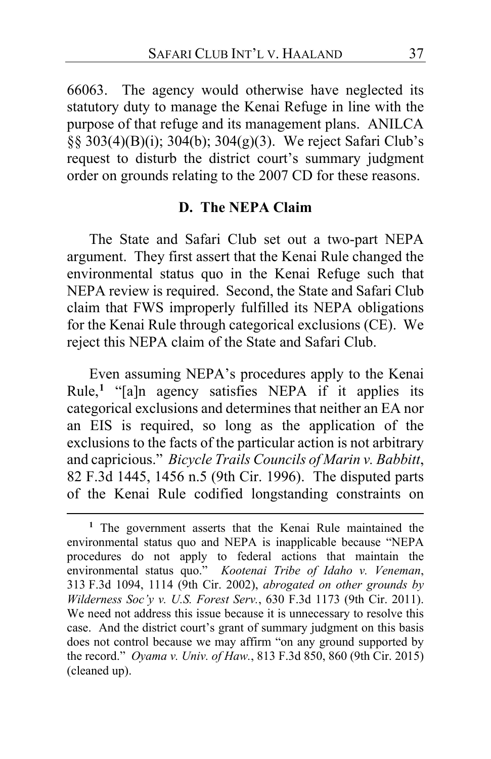66063.The agency would otherwise have neglected its statutory duty to manage the Kenai Refuge in line with the purpose of that refuge and its management plans. ANILCA §§ 303(4)(B)(i); 304(b); 304(g)(3). We reject Safari Club's request to disturb the district court's summary judgment order on grounds relating to the 2007 CD for these reasons.

# **D. The NEPA Claim**

The State and Safari Club set out a two-part NEPA argument. They first assert that the Kenai Rule changed the environmental status quo in the Kenai Refuge such that NEPA review is required.Second, the State and Safari Club claim that FWS improperly fulfilled its NEPA obligations for the Kenai Rule through categorical exclusions (CE).We reject this NEPA claim of the State and Safari Club.

Even assuming NEPA's procedures apply to the Kenai Rule,**[1](#page-36-0)** "[a]n agency satisfies NEPA if it applies its categorical exclusions and determines that neither an EA nor an EIS is required, so long as the application of the exclusions to the facts of the particular action is not arbitrary and capricious." *Bicycle Trails Councils of Marin v. Babbitt*, 82 F.3d 1445, 1456 n.5 (9th Cir. 1996). The disputed parts of the Kenai Rule codified longstanding constraints on

<span id="page-36-0"></span>**<sup>1</sup>** The government asserts that the Kenai Rule maintained the environmental status quo and NEPA is inapplicable because "NEPA procedures do not apply to federal actions that maintain the environmental status quo." *Kootenai Tribe of Idaho v. Veneman*, 313 F.3d 1094, 1114 (9th Cir. 2002), *abrogated on other grounds by Wilderness Soc'y v. U.S. Forest Serv.*, 630 F.3d 1173 (9th Cir. 2011). We need not address this issue because it is unnecessary to resolve this case. And the district court's grant of summary judgment on this basis does not control because we may affirm "on any ground supported by the record." *Oyama v. Univ. of Haw.*, 813 F.3d 850, 860 (9th Cir. 2015) (cleaned up).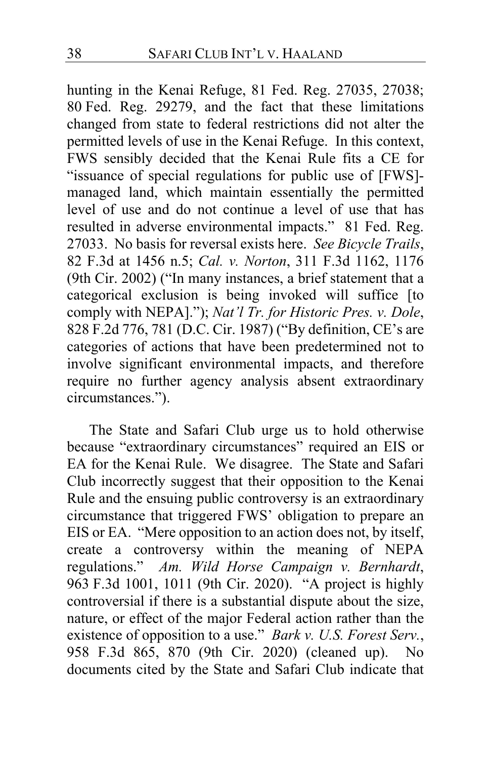hunting in the Kenai Refuge, 81 Fed. Reg. 27035, 27038; 80 Fed. Reg. 29279, and the fact that these limitations changed from state to federal restrictions did not alter the permitted levels of use in the Kenai Refuge. In this context, FWS sensibly decided that the Kenai Rule fits a CE for "issuance of special regulations for public use of [FWS] managed land, which maintain essentially the permitted level of use and do not continue a level of use that has resulted in adverse environmental impacts." 81 Fed. Reg. 27033. No basis for reversal exists here. *See Bicycle Trails*, 82 F.3d at 1456 n.5; *Cal. v. Norton*, 311 F.3d 1162, 1176 (9th Cir. 2002) ("In many instances, a brief statement that a categorical exclusion is being invoked will suffice [to comply with NEPA]."); *Nat'l Tr. for Historic Pres. v. Dole*, 828 F.2d 776, 781 (D.C. Cir. 1987) ("By definition, CE's are categories of actions that have been predetermined not to involve significant environmental impacts, and therefore require no further agency analysis absent extraordinary circumstances.").

The State and Safari Club urge us to hold otherwise because "extraordinary circumstances" required an EIS or EA for the Kenai Rule.We disagree. The State and Safari Club incorrectly suggest that their opposition to the Kenai Rule and the ensuing public controversy is an extraordinary circumstance that triggered FWS' obligation to prepare an EIS or EA."Mere opposition to an action does not, by itself, create a controversy within the meaning of NEPA regulations." *Am. Wild Horse Campaign v. Bernhardt*, 963 F.3d 1001, 1011 (9th Cir. 2020). "A project is highly controversial if there is a substantial dispute about the size, nature, or effect of the major Federal action rather than the existence of opposition to a use." *Bark v. U.S. Forest Serv.*, 958 F.3d 865, 870 (9th Cir. 2020) (cleaned up). No documents cited by the State and Safari Club indicate that